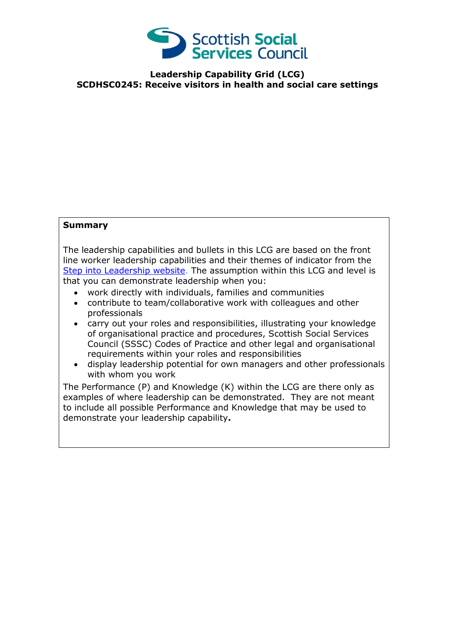

**Leadership Capability Grid (LCG) SCDHSC0245: Receive visitors in health and social care settings**

## **Summary**

The leadership capabilities and bullets in this LCG are based on the front line worker leadership capabilities and their themes of indicator from the [Step into Leadership website.](http://www.stepintoleadership.info/) The assumption within this LCG and level is that you can demonstrate leadership when you:

- work directly with individuals, families and communities
- contribute to team/collaborative work with colleagues and other professionals
- carry out your roles and responsibilities, illustrating your knowledge of organisational practice and procedures, Scottish Social Services Council (SSSC) Codes of Practice and other legal and organisational requirements within your roles and responsibilities
- display leadership potential for own managers and other professionals with whom you work

The Performance (P) and Knowledge (K) within the LCG are there only as examples of where leadership can be demonstrated. They are not meant to include all possible Performance and Knowledge that may be used to demonstrate your leadership capability**.**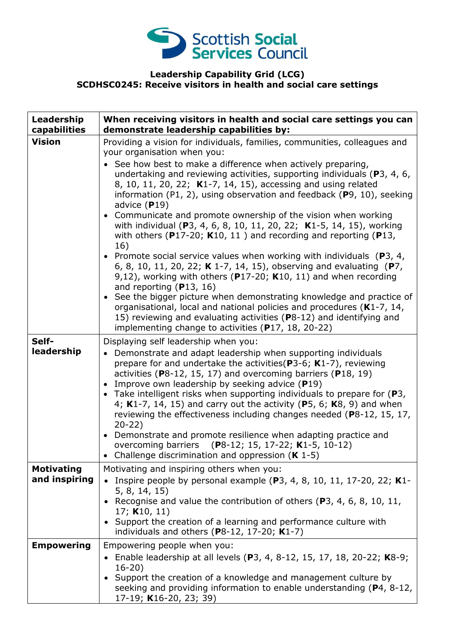

## **Leadership Capability Grid (LCG) SCDHSC0245: Receive visitors in health and social care settings**

| Leadership<br>capabilities         | When receiving visitors in health and social care settings you can<br>demonstrate leadership capabilities by:                                                                                                                                                                                                                                                                                                                                                                                                                                                                                                                                                                                                                                                                                                                                                                                                                                                                                                                                                                                                                        |
|------------------------------------|--------------------------------------------------------------------------------------------------------------------------------------------------------------------------------------------------------------------------------------------------------------------------------------------------------------------------------------------------------------------------------------------------------------------------------------------------------------------------------------------------------------------------------------------------------------------------------------------------------------------------------------------------------------------------------------------------------------------------------------------------------------------------------------------------------------------------------------------------------------------------------------------------------------------------------------------------------------------------------------------------------------------------------------------------------------------------------------------------------------------------------------|
| <b>Vision</b>                      | Providing a vision for individuals, families, communities, colleagues and<br>your organisation when you:<br>See how best to make a difference when actively preparing,<br>undertaking and reviewing activities, supporting individuals ( $P_3$ , 4, 6,<br>8, 10, 11, 20, 22; K1-7, 14, 15), accessing and using related<br>information (P1, 2), using observation and feedback ( $P$ 9, 10), seeking<br>advice $(P19)$<br>• Communicate and promote ownership of the vision when working<br>with individual (P3, 4, 6, 8, 10, 11, 20, 22; K1-5, 14, 15), working<br>with others ( $P17-20$ ; K10, 11) and recording and reporting ( $P13$ ,<br>16)<br>• Promote social service values when working with individuals ( $P_3$ , 4,<br>6, 8, 10, 11, 20, 22; K 1-7, 14, 15), observing and evaluating (P7,<br>9,12), working with others ( $P17-20$ ; K10, 11) and when recording<br>and reporting $(P13, 16)$<br>• See the bigger picture when demonstrating knowledge and practice of<br>organisational, local and national policies and procedures (K1-7, 14,<br>15) reviewing and evaluating activities (P8-12) and identifying and |
|                                    | implementing change to activities (P17, 18, 20-22)                                                                                                                                                                                                                                                                                                                                                                                                                                                                                                                                                                                                                                                                                                                                                                                                                                                                                                                                                                                                                                                                                   |
| Self-<br>leadership                | Displaying self leadership when you:<br>• Demonstrate and adapt leadership when supporting individuals<br>prepare for and undertake the activities ( $P3-6$ ; K1-7), reviewing<br>activities ( $P8-12$ , 15, 17) and overcoming barriers ( $P18$ , 19)<br>• Improve own leadership by seeking advice (P19)<br>• Take intelligent risks when supporting individuals to prepare for $(P3,$<br>4; K1-7, 14, 15) and carry out the activity (P5, 6; K8, 9) and when<br>reviewing the effectiveness including changes needed (P8-12, 15, 17,<br>$20-22)$<br>• Demonstrate and promote resilience when adapting practice and<br>overcoming barriers (P8-12; 15, 17-22; K1-5, 10-12)<br>• Challenge discrimination and oppression $(K 1-5)$                                                                                                                                                                                                                                                                                                                                                                                                 |
| <b>Motivating</b><br>and inspiring | Motivating and inspiring others when you:<br>Inspire people by personal example ( $P_3$ , 4, 8, 10, 11, 17-20, 22; K1-<br>5, 8, 14, 15)<br>• Recognise and value the contribution of others (P3, 4, 6, 8, 10, 11,<br>17; $K10, 11$<br>• Support the creation of a learning and performance culture with<br>individuals and others ( $P8-12$ , 17-20; $K1-7$ )                                                                                                                                                                                                                                                                                                                                                                                                                                                                                                                                                                                                                                                                                                                                                                        |
| <b>Empowering</b>                  | Empowering people when you:<br>• Enable leadership at all levels (P3, 4, 8-12, 15, 17, 18, 20-22; K8-9;<br>$16-20)$<br>Support the creation of a knowledge and management culture by<br>seeking and providing information to enable understanding (P4, 8-12,<br>17-19; K16-20, 23; 39)                                                                                                                                                                                                                                                                                                                                                                                                                                                                                                                                                                                                                                                                                                                                                                                                                                               |